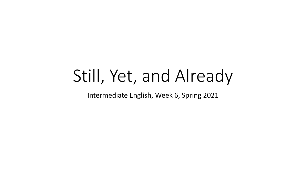# Still, Yet, and Already

Intermediate English, Week 6, Spring 2021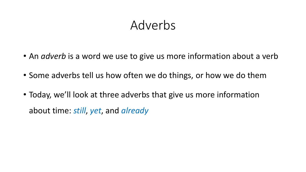### Adverbs

- An *adverb* is a word we use to give us more information about a verb
- Some adverbs tell us how often we do things, or how we do them
- Today, we'll look at three adverbs that give us more information about time: *still*, *yet*, and *already*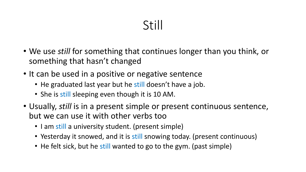# Still

- We use *still* for something that continues longer than you think, or something that hasn't changed
- It can be used in a positive or negative sentence
	- He graduated last year but he still doesn't have a job.
	- She is still sleeping even though it is 10 AM.
- Usually, *still* is in a present simple or present continuous sentence, but we can use it with other verbs too
	- I am still a university student. (present simple)
	- Yesterday it snowed, and it is still snowing today. (present continuous)
	- He felt sick, but he still wanted to go to the gym. (past simple)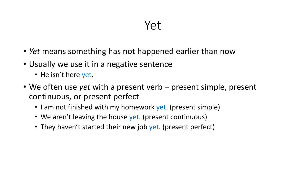- *Yet* means something has not happened earlier than now
- Usually we use it in a negative sentence
	- He isn't here yet.
- We often use *yet* with a present verb present simple, present continuous, or present perfect
	- I am not finished with my homework yet. (present simple)
	- We aren't leaving the house yet. (present continuous)
	- They haven't started their new job yet. (present perfect)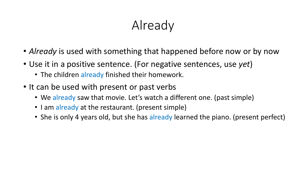# Already

- *Already* is used with something that happened before now or by now
- Use it in a positive sentence. (For negative sentences, use *yet*)
	- The children already finished their homework.
- It can be used with present or past verbs
	- We already saw that movie. Let's watch a different one. (past simple)
	- I am already at the restaurant. (present simple)
	- She is only 4 years old, but she has already learned the piano. (present perfect)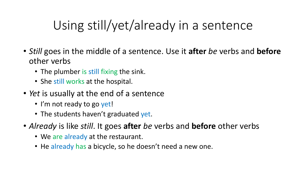# Using still/yet/already in a sentence

- *Still* goes in the middle of a sentence. Use it **after** *be* verbs and **before** other verbs
	- The plumber is still fixing the sink.
	- She still works at the hospital.
- *Yet* is usually at the end of a sentence
	- I'm not ready to go yet!
	- The students haven't graduated yet.
- *Already* is like *still*. It goes **after** *be* verbs and **before** other verbs
	- We are already at the restaurant.
	- He already has a bicycle, so he doesn't need a new one.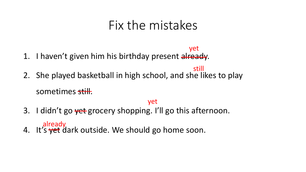#### Fix the mistakes

- 1. I haven't given him his birthday present already. yet
- 2. She played basketball in high school, and she likes to play sometimes still. still

#### yet

- 3. I didn't go vet grocery shopping. I'll go this afternoon. already
- 4. It's yet dark outside. We should go home soon.